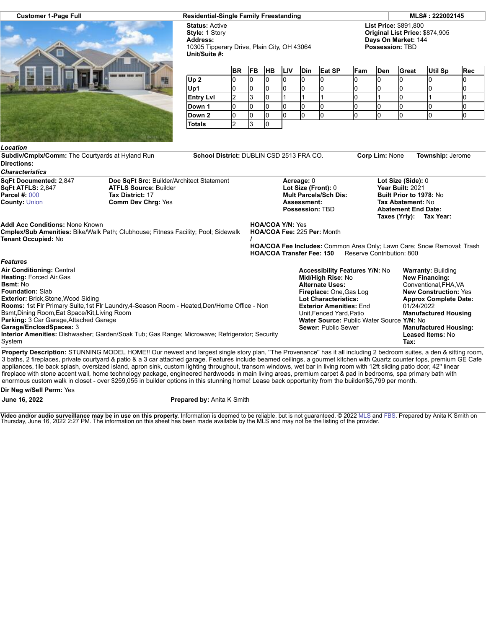

**Customer 1-Page Full Residential-Single Family Freestanding MLS# : 222002145**

**Status:** Active **Style:** 1 Story **Address:** 10305 Tipperary Drive, Plain City, OH 43064 **Unit/Suite #:**

**List Price:** \$891,800 **Original List Price:** \$874,905 **Days On Market:** 144 **Possession:** TBD

|                  | <b>BR</b> | <b>FB</b> | <b>HB</b> | <b>ILIV</b> | <b>Din</b> | Eat SP | Fam | <b>Den</b> | Great | Util Sp | Rec |
|------------------|-----------|-----------|-----------|-------------|------------|--------|-----|------------|-------|---------|-----|
| Up <sub>2</sub>  |           |           | u         |             |            |        |     | ı.         |       |         |     |
| Up1              | υ         | U         | u         |             |            |        |     | IJ         | U     |         |     |
| <b>Entry Lvl</b> |           |           |           |             |            |        |     |            |       |         |     |
| Down 1           |           |           |           |             |            |        |     |            |       |         |     |
| Down 2           |           | u         |           |             |            |        |     |            |       |         |     |
| <b>Totals</b>    |           |           |           |             |            |        |     |            |       |         |     |

| Location                                                                                                                                                                                                                                                                                        |                                                                                                                                                                                                                                                                                                                                                                             |  |                         |                                                                                                                                                                                                                                                                                          |                           |                                                                                                                                                                                                                                                      |  |
|-------------------------------------------------------------------------------------------------------------------------------------------------------------------------------------------------------------------------------------------------------------------------------------------------|-----------------------------------------------------------------------------------------------------------------------------------------------------------------------------------------------------------------------------------------------------------------------------------------------------------------------------------------------------------------------------|--|-------------------------|------------------------------------------------------------------------------------------------------------------------------------------------------------------------------------------------------------------------------------------------------------------------------------------|---------------------------|------------------------------------------------------------------------------------------------------------------------------------------------------------------------------------------------------------------------------------------------------|--|
| Subdiv/Cmplx/Comm: The Courtyards at Hyland Run<br><b>Directions:</b>                                                                                                                                                                                                                           | School District: DUBLIN CSD 2513 FRA CO.                                                                                                                                                                                                                                                                                                                                    |  |                         | Corp Lim: None                                                                                                                                                                                                                                                                           | <b>Township: Jerome</b>   |                                                                                                                                                                                                                                                      |  |
| <b>Characteristics</b>                                                                                                                                                                                                                                                                          |                                                                                                                                                                                                                                                                                                                                                                             |  |                         |                                                                                                                                                                                                                                                                                          |                           |                                                                                                                                                                                                                                                      |  |
| SqFt Documented: 2,847<br><b>SqFt ATFLS: 2,847</b><br><b>Parcel #: 000</b><br><b>County: Union</b>                                                                                                                                                                                              | Doc SqFt Src: Builder/Architect Statement<br><b>ATFLS Source: Builder</b><br>Tax District: 17<br><b>Comm Dev Chrg: Yes</b>                                                                                                                                                                                                                                                  |  |                         | Acreage: 0<br>Lot Size (Front): 0<br><b>Mult Parcels/Sch Dis:</b><br><b>Assessment:</b><br><b>Possession: TBD</b>                                                                                                                                                                        |                           | Lot Size (Side): 0<br>Year Built: 2021<br>Built Prior to 1978: No<br>Tax Abatement: No<br><b>Abatement End Date:</b><br>Taxes (Yrly):<br>Tax Year:                                                                                                   |  |
| <b>Addl Acc Conditions: None Known</b><br><b>Tenant Occupied: No</b>                                                                                                                                                                                                                            | <b>Cmplex/Sub Amenities: Bike/Walk Path; Clubhouse; Fitness Facility; Pool; Sidewalk</b>                                                                                                                                                                                                                                                                                    |  | <b>HOA/COA Y/N: Yes</b> | HOA/COA Fee: 225 Per: Month<br><b>HOA/COA Transfer Fee: 150</b>                                                                                                                                                                                                                          | Reserve Contribution: 800 | <b>HOA/COA Fee Includes:</b> Common Area Only; Lawn Care; Snow Removal; Trash                                                                                                                                                                        |  |
| <b>Features</b>                                                                                                                                                                                                                                                                                 |                                                                                                                                                                                                                                                                                                                                                                             |  |                         |                                                                                                                                                                                                                                                                                          |                           |                                                                                                                                                                                                                                                      |  |
| Air Conditioning: Central<br><b>Heating: Forced Air, Gas</b><br><b>Bsmt: No</b><br><b>Foundation: Slab</b><br><b>Exterior: Brick, Stone, Wood Siding</b><br>Bsmt, Dining Room, Eat Space/Kit, Living Room<br><b>Parking: 3 Car Garage, Attached Garage</b><br>Garage/EnclosdSpaces: 3<br>System | Rooms: 1st Flr Primary Suite, 1st Flr Laundry, 4-Season Room - Heated, Den/Home Office - Non<br><b>Interior Amenities:</b> Dishwasher; Garden/Soak Tub; Gas Range; Microwave; Refrigerator; Security<br>Despartir Description: CTUNNING MODEL HOMEH Our powert and lergest single stars plan. "The Dravenesse" has it all including 2 hadrespe suites, a dan 8 sitting room |  |                         | <b>Accessibility Features Y/N: No</b><br>Mid/High Rise: No<br><b>Alternate Uses:</b><br>Fireplace: One, Gas Log<br><b>Lot Characteristics:</b><br><b>Exterior Amenities: End.</b><br>Unit, Fenced Yard, Patio<br>Water Source: Public Water Source Y/N: No<br><b>Sewer: Public Sewer</b> |                           | <b>Warranty: Building</b><br><b>New Financing:</b><br>Conventional, FHA, VA<br><b>New Construction: Yes</b><br><b>Approx Complete Date:</b><br>01/24/2022<br><b>Manufactured Housing</b><br><b>Manufactured Housing:</b><br>Leased Items: No<br>Tax: |  |

Property Description: STUNNING MODEL HOME!! Our newest and largest single story plan, "The Provenance" has it all including 2 bedroom suites, a den & sitting room, 3 baths, 2 fireplaces, private courtyard & patio & a 3 car attached garage. Features include beamed ceilings, a gourmet kitchen with Quartz counter tops, premium GE Cafe appliances, tile back splash, oversized island, apron sink, custom lighting throughout, transom windows, wet bar in living room with 12ft sliding patio door, 42'' linear fireplace with stone accent wall, home technology package, engineered hardwoods in main living areas, premium carpet & pad in bedrooms, spa primary bath with enormous custom walk in closet - over \$259,055 in builder options in this stunning home! Lease back opportunity from the builder/\$5,799 per month.

**Dir Neg w/Sell Perm:** Yes

**June 16, 2022 Prepared by:** Anita K Smith

**Video and/or audio surveillance may be in use on this property.** Information is deemed to be reliable, but is not guaranteed. © 2022 [MLS](http://www.columbusrealtors.com/) and [FBS](http://www.flexmls.com/copyright_notice.html?2). Prepared by Anita K Smith on<br>Thursday, June 16, 2022 2:27 PM. The informati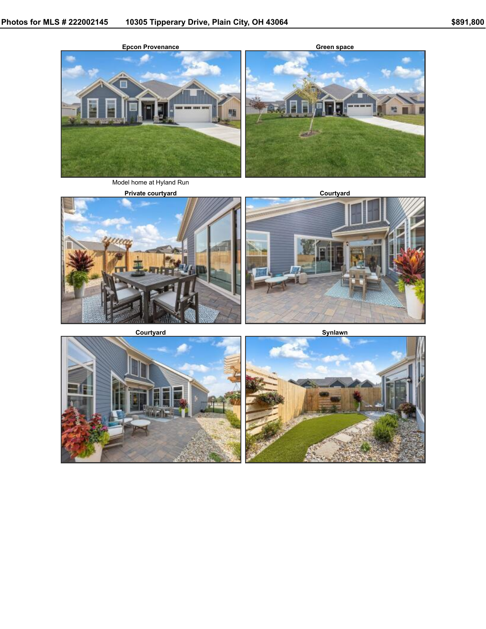

Model home at Hyland Run



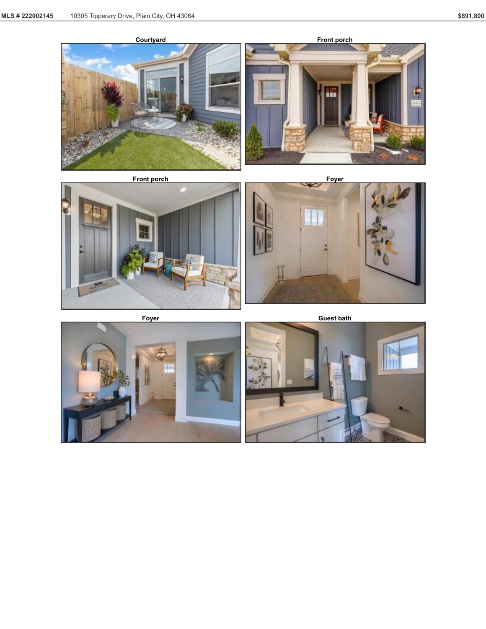









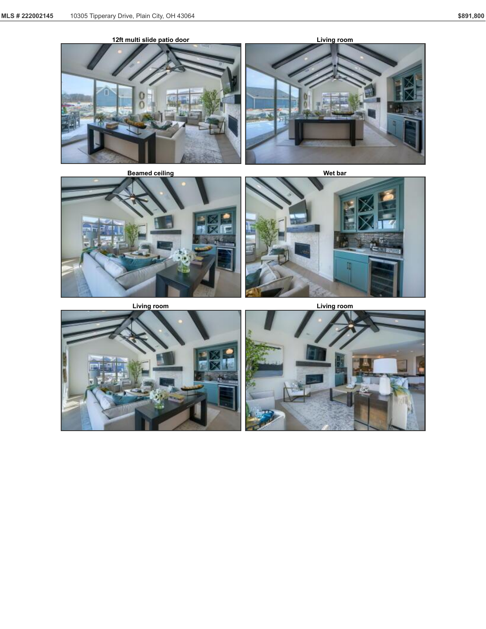





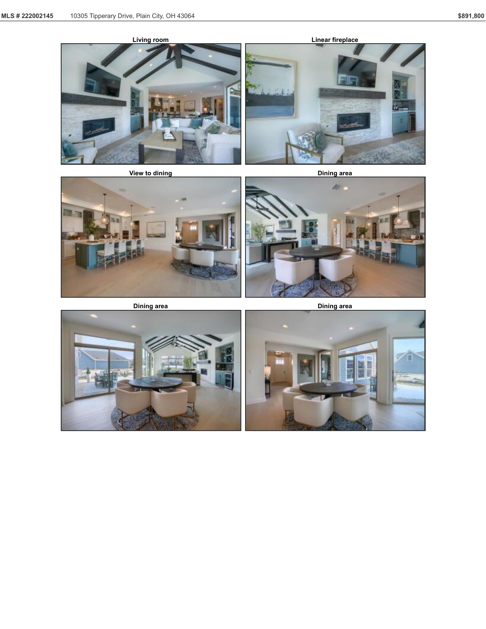





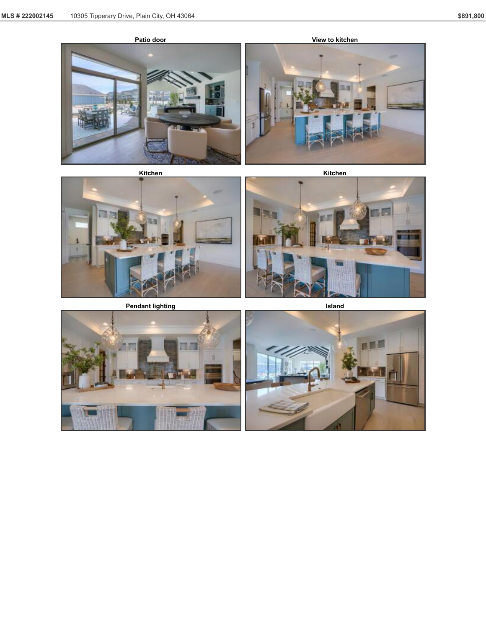



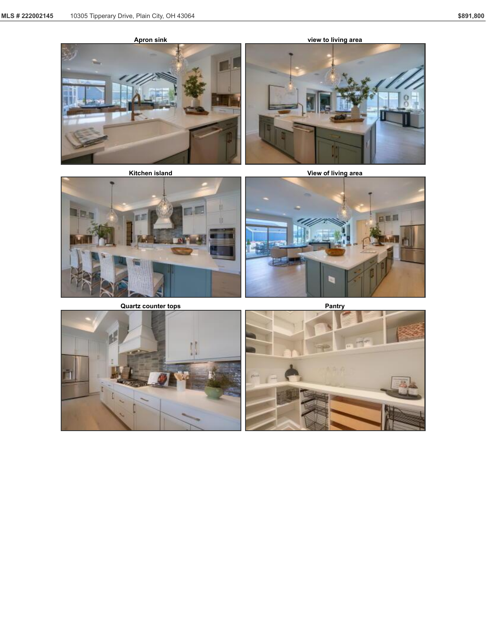







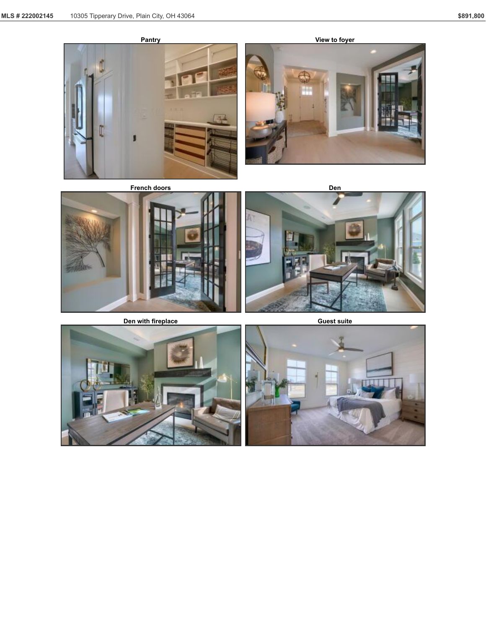







**Den** with fireplace **Guest Guest Suite** 





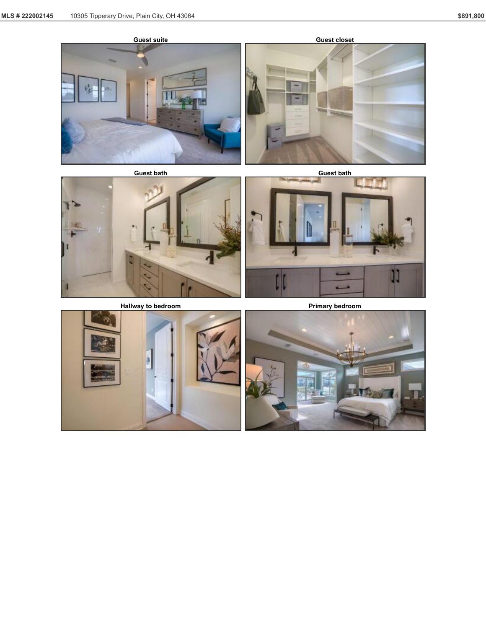



**Hallway** to bedroom **Primary bedroom** 



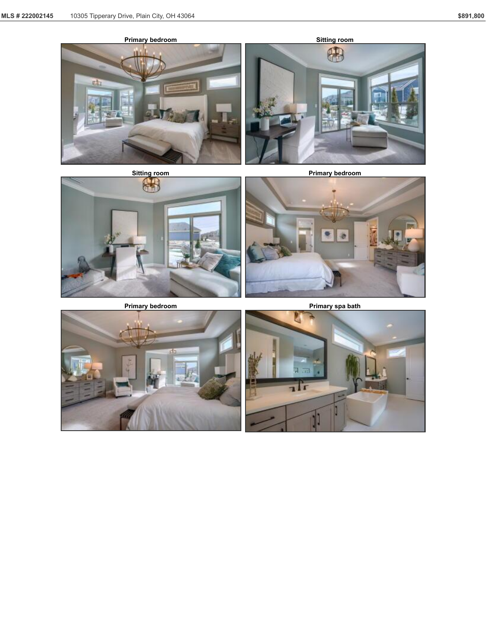









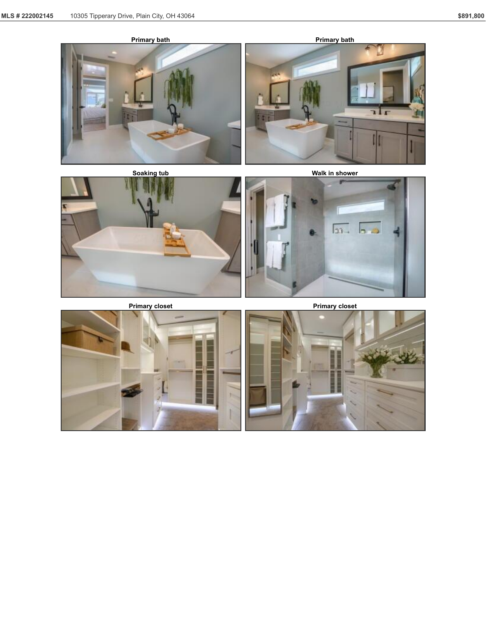



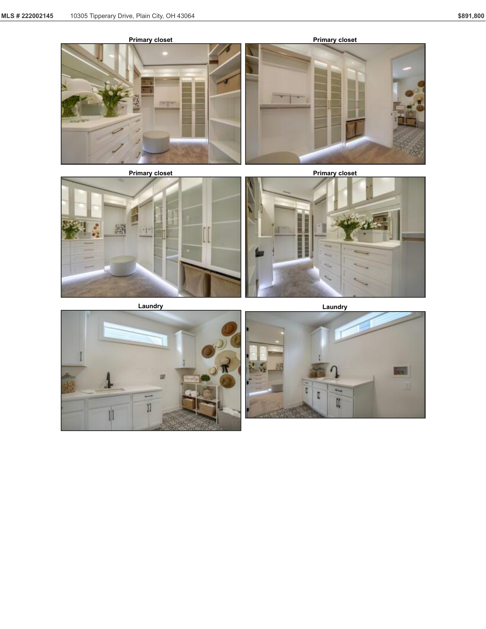